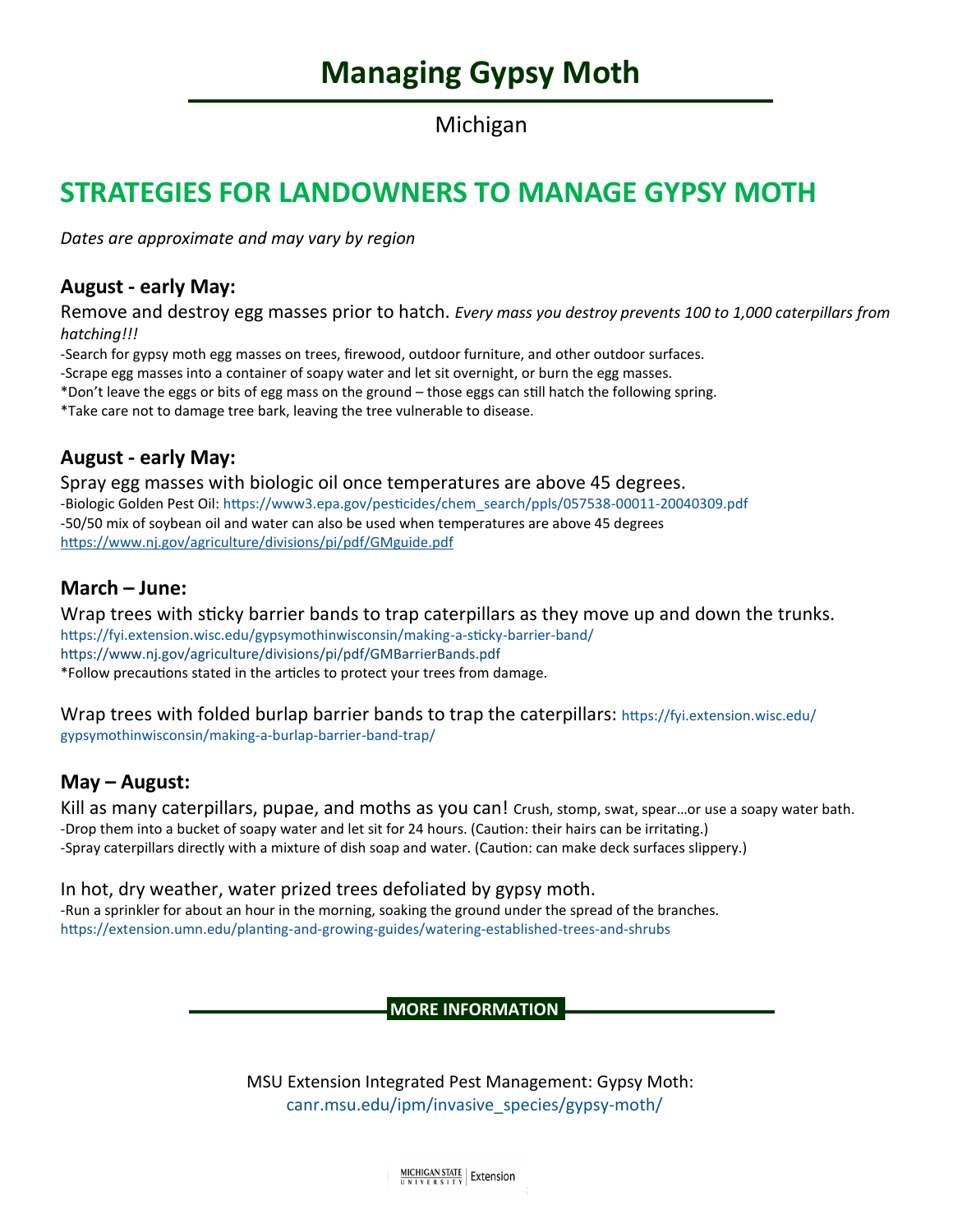# **Managing Gypsy Moth**

Michigan

## **STRATEGIES FOR LANDOWNERS TO MANAGE GYPSY MOTH**

*Dates are approximate and may vary by region*

### **August - early May:**

Remove and destroy egg masses prior to hatch. *Every mass you destroy prevents 100 to 1,000 caterpillars from hatching!!!*

-Search for gypsy moth egg masses on trees, firewood, outdoor furniture, and other outdoor surfaces.

-Scrape egg masses into a container of soapy water and let sit overnight, or burn the egg masses.

\*Don't leave the eggs or bits of egg mass on the ground – those eggs can still hatch the following spring.

\*Take care not to damage tree bark, leaving the tree vulnerable to disease.

### **August - early May:**

Spray egg masses with biologic oil once temperatures are above 45 degrees. -Biologic Golden Pest Oil: [https://www3.epa.gov/pesticides/chem\\_search/ppls/057538](https://www3.epa.gov/pesticides/chem_search/ppls/057538-00011-20040309.pdf)-00011-20040309.pdf -50/50 mix of soybean oil and water can also be used when temperatures are above 45 degrees <https://www.nj.gov/agriculture/divisions/pi/pdf/GMguide.pdf>

## **March – June:**

Wrap trees with sticky barrier bands to trap caterpillars as they move up and down the trunks. [https://fyi.extension.wisc.edu/gypsymothinwisconsin/making](https://fyi.extension.wisc.edu/gypsymothinwisconsin/making-a-sticky-barrier-band/)-a-sticky-barrier-band/ <https://www.nj.gov/agriculture/divisions/pi/pdf/GMBarrierBands.pdf> \*Follow precautions stated in the articles to protect your trees from damage.

Wrap trees with folded burlap barrier bands to trap the caterpillars: [https://fyi.extension.wisc.edu/](https://fyi.extension.wisc.edu/gypsymothinwisconsin/making-a-burlap-barrier-band-trap/) [gypsymothinwisconsin/making](https://fyi.extension.wisc.edu/gypsymothinwisconsin/making-a-burlap-barrier-band-trap/)-a-burlap-barrier-band-trap/

### **May – August:**

Kill as many caterpillars, pupae, and moths as you can! Crush, stomp, swat, spear…or use a soapy water bath. -Drop them into a bucket of soapy water and let sit for 24 hours. (Caution: their hairs can be irritating.) -Spray caterpillars directly with a mixture of dish soap and water. (Caution: can make deck surfaces slippery.)

### In hot, dry weather, water prized trees defoliated by gypsy moth.

-Run a sprinkler for about an hour in the morning, soaking the ground under the spread of the branches. [https://extension.umn.edu/planting](https://extension.umn.edu/planting-and-growing-guides/watering-established-trees-and-shrubs)-and-growing-guides/watering-established-trees-and-shrubs

**MORE INFORMATION**

MSU Extension Integrated Pest Management: Gypsy Moth: [canr.msu.edu/ipm/invasive\\_species/gypsy](https://www.canr.msu.edu/ipm/invasive_species/gypsy-moth/)-moth/